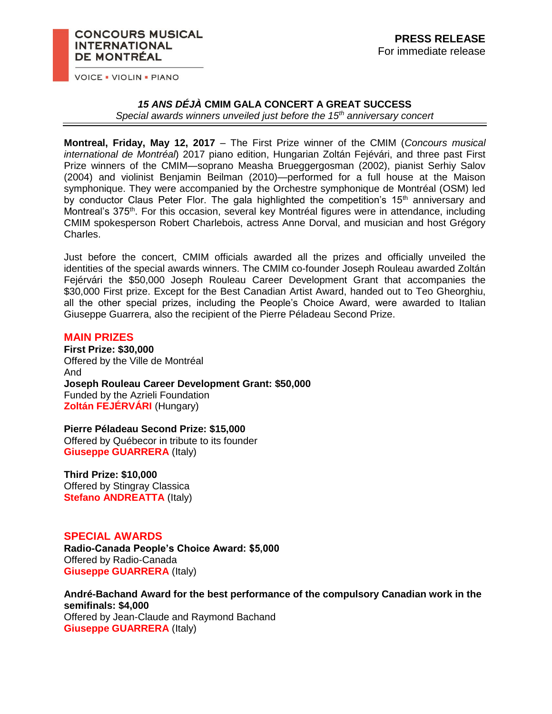### **CONCOURS MUSICAL INTERNATIONAL** DE MONTRÉAL

**VOICE . VIOLIN . PIANO** 

## *15 ANS DÉJÀ* **CMIM GALA CONCERT A GREAT SUCCESS**

*Special awards winners unveiled just before the 15th anniversary concert*

**Montreal, Friday, May 12, 2017** – The First Prize winner of the CMIM (*Concours musical international de Montréal*) 2017 piano edition, Hungarian Zoltán Fejévári, and three past First Prize winners of the CMIM—soprano Measha Brueggergosman (2002), pianist Serhiy Salov (2004) and violinist Benjamin Beilman (2010)—performed for a full house at the Maison symphonique. They were accompanied by the Orchestre symphonique de Montréal (OSM) led by conductor Claus Peter Flor. The gala highlighted the competition's  $15<sup>th</sup>$  anniversary and Montreal's 375<sup>th</sup>. For this occasion, several key Montréal figures were in attendance, including CMIM spokesperson Robert Charlebois, actress Anne Dorval, and musician and host Grégory Charles.

Just before the concert, CMIM officials awarded all the prizes and officially unveiled the identities of the special awards winners. The CMIM co-founder Joseph Rouleau awarded Zoltán Fejérvári the \$50,000 Joseph Rouleau Career Development Grant that accompanies the \$30,000 First prize. Except for the Best Canadian Artist Award, handed out to Teo Gheorghiu, all the other special prizes, including the People's Choice Award, were awarded to Italian Giuseppe Guarrera, also the recipient of the Pierre Péladeau Second Prize.

# **MAIN PRIZES**

**First Prize: \$30,000**  Offered by the Ville de Montréal And **Joseph Rouleau Career Development Grant: \$50,000** Funded by the Azrieli Foundation **Zoltán FEJÉRVÁRI** (Hungary)

**Pierre Péladeau Second Prize: \$15,000**  Offered by Québecor in tribute to its founder **Giuseppe GUARRERA** (Italy)

**Third Prize: \$10,000**  Offered by Stingray Classica **Stefano ANDREATTA (Italy)** 

# **SPECIAL AWARDS**

**Radio-Canada People's Choice Award: \$5,000**  Offered by Radio-Canada **Giuseppe GUARRERA** (Italy)

**André-Bachand Award for the best performance of the compulsory Canadian work in the semifinals: \$4,000** Offered by Jean-Claude and Raymond Bachand **Giuseppe GUARRERA** (Italy)